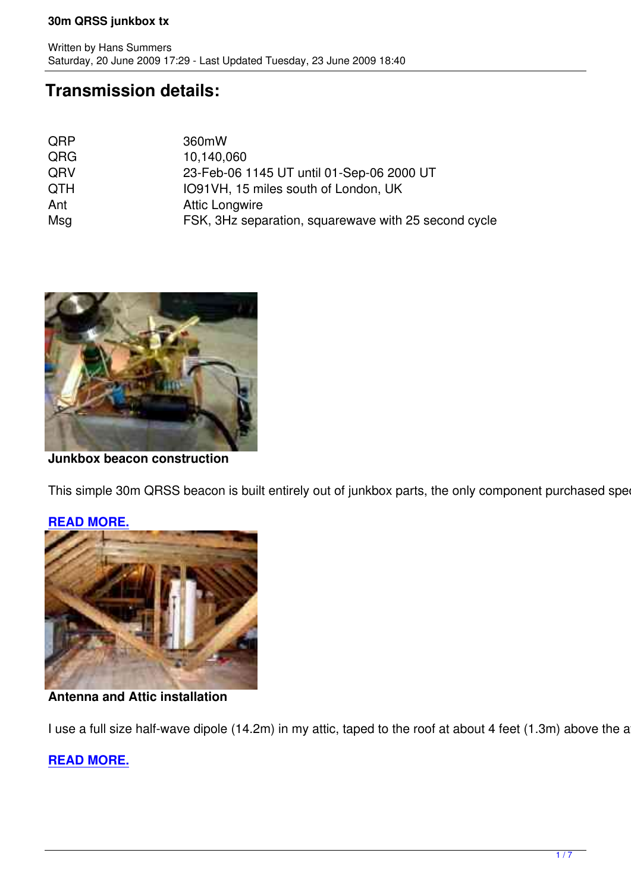## **Transmission details:**

| 360mW                                                |
|------------------------------------------------------|
| 10,140,060                                           |
| 23-Feb-06 1145 UT until 01-Sep-06 2000 UT            |
| IO91VH, 15 miles south of London, UK                 |
| <b>Attic Longwire</b>                                |
| FSK, 3Hz separation, squarewave with 25 second cycle |
|                                                      |



**Junkbox beacon construction** :

This simple 30m QRSS beacon is built entirely out of junkbox parts, the only component purchased specific



### **READ MORE.**

## **Antenna and Attic installation** :

I use a full size half-wave dipole (14.2m) in my attic, taped to the roof at about 4 feet (1.3m) above the attic

## **READ MORE.**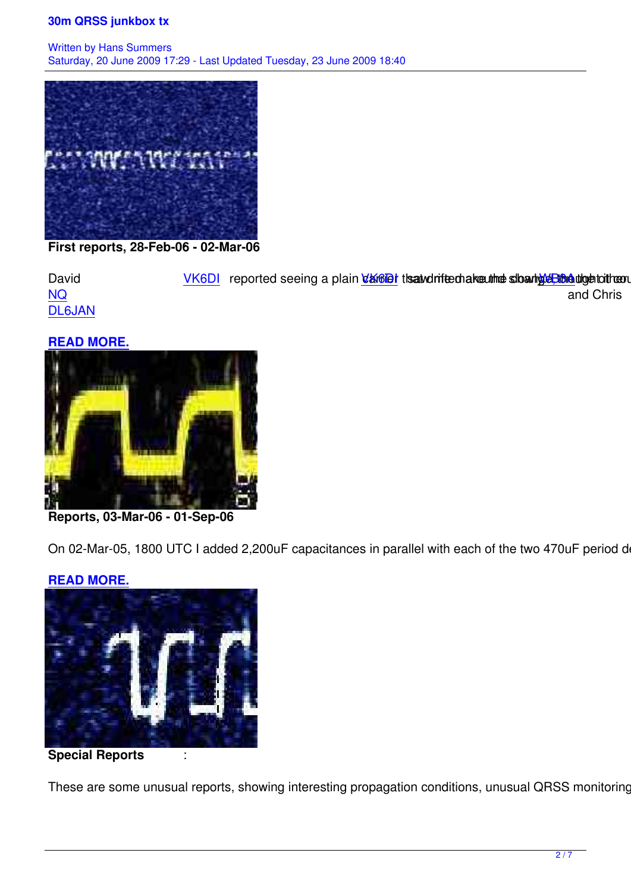

**First reports, 28-Feb-06 - 02-Mar-06** :

David VK6DI reported seeing a plain *dansels* the andrifeed are the sharing end the order of NQ and Chris and Christian and Christian and Christian and Christian and Christian and Christian and Christian DL6JAN the following morning.

#### **[REA](http://www.wb3anq.com/)D MORE.**



**Reports, 03-Mar-06 - 01-Sep-06** :

On 02-Mar-05, 1800 UTC I added 2,200uF capacitances in parallel with each of the two 470uF period deter

### **READ MORE.**



**Special Reports** :

These are some unusual reports, showing interesting propagation conditions, unusual QRSS monitoring sit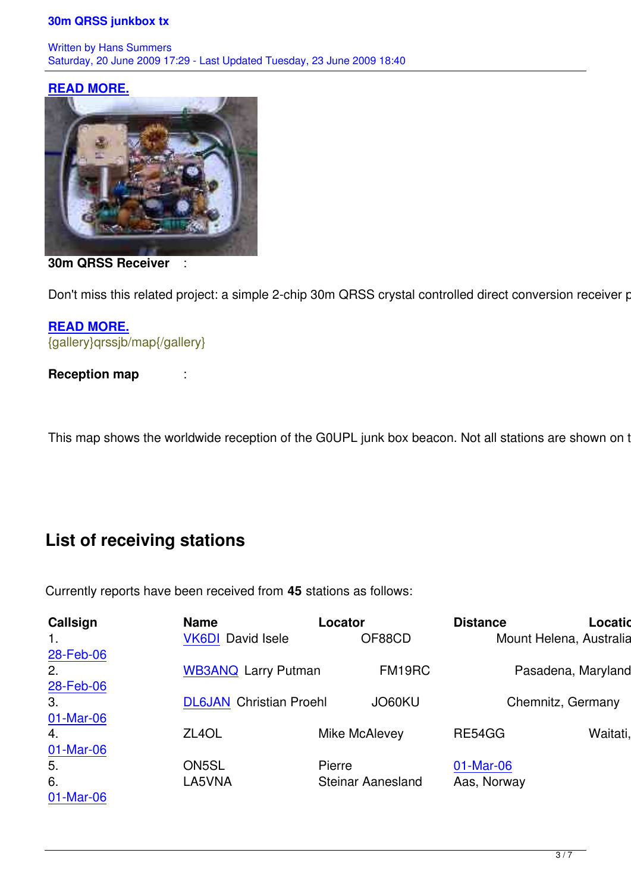#### **READ MORE.**



**30m QRSS Receiver** :

Don't miss this related project: a simple 2-chip 30m QRSS crystal controlled direct conversion receiver pow

**READ MORE.** {gallery}qrssjb/map{/gallery}

**[Reception ma](qrssrx.html)p** :

This map shows the worldwide reception of the G0UPL junk box beacon. Not all stations are shown on the

# **List of receiving stations**

Currently reports have been received from **45** stations as follows:

| Callsign  | <b>Name</b>                    | Locator                  |        | <b>Distance</b> | Location                |
|-----------|--------------------------------|--------------------------|--------|-----------------|-------------------------|
| 1.        | <b>VK6DI</b> David Isele       |                          | OF88CD |                 | Mount Helena, Australia |
| 28-Feb-06 |                                |                          |        |                 |                         |
| 2.        | <b>WB3ANQ Larry Putman</b>     |                          | FM19RC |                 | Pasadena, Maryland, U   |
| 28-Feb-06 |                                |                          |        |                 |                         |
| 3.        | <b>DL6JAN</b> Christian Proehl |                          | JO60KU |                 | Chemnitz, Germany       |
| 01-Mar-06 |                                |                          |        |                 |                         |
| 4.        | ZL <sub>4</sub> OL             | Mike McAlevey            |        | RE54GG          | Waitati, Ne             |
| 01-Mar-06 |                                |                          |        |                 |                         |
| 5.        | ON5SL                          | Pierre                   |        | 01-Mar-06       |                         |
| 6.        | LA5VNA                         | <b>Steinar Aanesland</b> |        | Aas, Norway     |                         |
| 01-Mar-06 |                                |                          |        |                 |                         |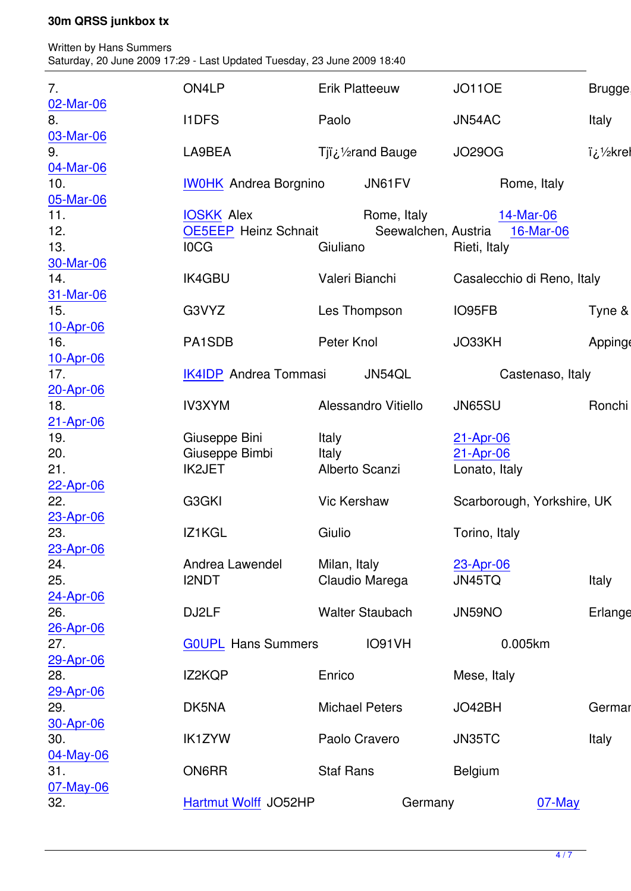Saturday, 20 June 2009 17:29 - Last Updated Tuesday, 23 June 2009 18:40

Written by Hans Summers Summers Summers Summers Summers Summers Summers Summers Summers Summers Summers Summer

| 7.               | ON4LP                        | <b>Erik Platteeuw</b>   |                                 | <b>JO110E</b>  |                            | Brugge, Be |
|------------------|------------------------------|-------------------------|---------------------------------|----------------|----------------------------|------------|
| 02-Mar-06<br>8.  | <b>I1DFS</b>                 | Paolo                   |                                 | JN54AC         |                            | Italy      |
| 03-Mar-06        |                              |                         |                                 |                |                            |            |
| 9.<br>04-Mar-06  | LA9BEA                       |                         | Tji ¿1/ <sub>2</sub> rand Bauge | <b>JO29OG</b>  |                            | krehan/¿ï  |
| 10.              | <b>IWOHK</b> Andrea Borgnino |                         | JN61FV                          |                | Rome, Italy                |            |
| 05-Mar-06        |                              |                         |                                 |                |                            |            |
| 11.              | <b>IOSKK</b> Alex            |                         | Rome, Italy                     |                | 14-Mar-06                  |            |
| 12.              | <b>OE5EEP Heinz Schnait</b>  |                         | Seewalchen, Austria             |                | 16-Mar-06                  |            |
| 13.              | <b>IOCG</b>                  | Giuliano                |                                 | Rieti, Italy   |                            |            |
| 30-Mar-06        |                              |                         |                                 |                |                            |            |
| 14.              | <b>IK4GBU</b>                | Valeri Bianchi          |                                 |                | Casalecchio di Reno, Italy |            |
| 31-Mar-06<br>15. | G3VYZ                        |                         |                                 |                |                            | Tyne & We  |
| 10-Apr-06        |                              | Les Thompson            |                                 | IO95FB         |                            |            |
| 16.              | PA1SDB                       | Peter Knol              |                                 | JO33KH         |                            | Appingeda  |
| 10-Apr-06        |                              |                         |                                 |                |                            |            |
| 17.              | <b>IK4IDP</b> Andrea Tommasi |                         | JN54QL                          |                | Castenaso, Italy           |            |
| 20-Apr-06        |                              |                         |                                 |                |                            |            |
| 18.              | <b>IV3XYM</b>                |                         | Alessandro Vitiello             | JN65SU         |                            | Ronchi dei |
| 21-Apr-06        |                              |                         |                                 |                |                            |            |
| 19.              | Giuseppe Bini                | Italy                   |                                 | 21-Apr-06      |                            |            |
| 20.              | Giuseppe Bimbi               | Italy<br>Alberto Scanzi |                                 | 21-Apr-06      |                            |            |
| 21.              | <b>IK2JET</b>                |                         |                                 | Lonato, Italy  |                            |            |
| 22-Apr-06<br>22. | G3GKI                        | <b>Vic Kershaw</b>      |                                 |                | Scarborough, Yorkshire, UK |            |
| 23-Apr-06        |                              |                         |                                 |                |                            |            |
| 23.              | IZ1KGL                       | Giulio                  |                                 | Torino, Italy  |                            |            |
| 23-Apr-06        |                              |                         |                                 |                |                            |            |
| 24.              | Andrea Lawendel              | Milan, Italy            |                                 | 23-Apr-06      |                            |            |
| 25.              | <b>I2NDT</b>                 |                         | Claudio Marega                  | JN45TQ         |                            | Italy      |
| 24-Apr-06        |                              |                         |                                 |                |                            |            |
| 26.              | DJ2LF                        |                         | <b>Walter Staubach</b>          | JN59NO         |                            | Erlangen,  |
| 26-Apr-06<br>27. | <b>GOUPL Hans Summers</b>    |                         | IO91VH                          |                | 0.005km                    | Ki         |
| 29-Apr-06        |                              |                         |                                 |                |                            |            |
| 28.              | IZ2KQP                       | Enrico                  |                                 | Mese, Italy    |                            |            |
| 29-Apr-06        |                              |                         |                                 |                |                            |            |
| 29.              | DK5NA                        | <b>Michael Peters</b>   |                                 | JO42BH         |                            | Germany    |
| 30-Apr-06        |                              |                         |                                 |                |                            |            |
| 30.              | <b>IK1ZYW</b>                | Paolo Cravero           |                                 | JN35TC         |                            | Italy      |
| 04-May-06        |                              |                         |                                 |                |                            |            |
| 31.              | ON6RR                        | <b>Staf Rans</b>        |                                 | <b>Belgium</b> |                            |            |
| 07-May-06        |                              |                         |                                 |                |                            |            |
| 32.              | <b>Hartmut Wolff JO52HP</b>  |                         | Germany                         |                | $07$ -May                  |            |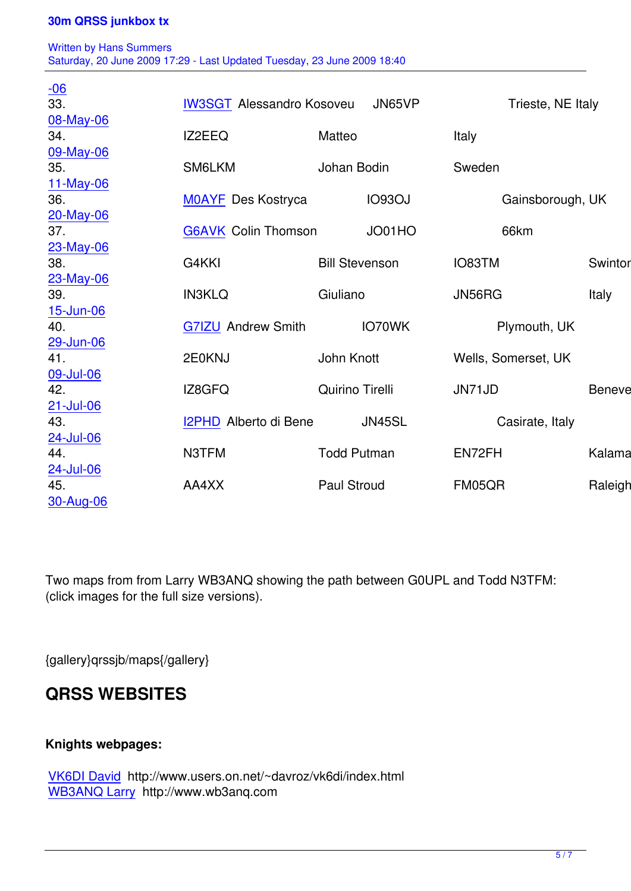Written by Hans Summers Summers Summers Summers Summers Summers Summers Summers Summers Summers Summers Summer Saturday, 20 June 2009 17:29 - Last Updated Tuesday, 23 June 2009 18:40

| $\frac{-06}{33}$ |                                            |                       |               |                     |                  |                |  |
|------------------|--------------------------------------------|-----------------------|---------------|---------------------|------------------|----------------|--|
|                  | <b>IW3SGT Alessandro Kosoveu</b><br>JN65VP |                       |               | Trieste, NE Italy   |                  |                |  |
| 08-May-06        |                                            |                       |               |                     |                  |                |  |
| 34.              | IZ2EEQ                                     | Matteo                |               | <b>Italy</b>        |                  |                |  |
| 09-May-06        |                                            |                       |               |                     |                  |                |  |
| 35.              | SM6LKM                                     | Johan Bodin           |               | Sweden              |                  |                |  |
| 11-May-06        |                                            |                       |               |                     |                  |                |  |
| 36.              | <b>MOAYF</b> Des Kostryca                  |                       | <b>IO93OJ</b> |                     | Gainsborough, UK |                |  |
| 20-May-06<br>37. |                                            |                       | JO01HO        |                     |                  | R <sub>i</sub> |  |
|                  | <b>G6AVK</b> Colin Thomson                 |                       |               | 66km                |                  |                |  |
| 23-May-06<br>38. | G4KKI                                      | <b>Bill Stevenson</b> |               | IO83TM              |                  | Swinton, M     |  |
| 23-May-06        |                                            |                       |               |                     |                  |                |  |
| 39.              | <b>IN3KLQ</b>                              | Giuliano              |               | JN56RG              |                  | <b>Italy</b>   |  |
| 15-Jun-06        |                                            |                       |               |                     |                  |                |  |
| 40.              | <b>G7IZU Andrew Smith</b>                  | IO70WK                |               | Plymouth, UK        |                  |                |  |
| 29-Jun-06        |                                            |                       |               |                     |                  |                |  |
| 41.              | 2E0KNJ                                     | John Knott            |               | Wells, Somerset, UK |                  |                |  |
| 09-Jul-06        |                                            |                       |               |                     |                  |                |  |
| 42.              | IZ8GFQ                                     | Quirino Tirelli       |               | JN71JD              |                  | Benevento      |  |
| 21-Jul-06        |                                            |                       |               |                     |                  |                |  |
| 43.              | I2PHD Alberto di Bene                      |                       | JN45SL        | Casirate, Italy     |                  |                |  |
| 24-Jul-06        |                                            |                       |               |                     |                  |                |  |
| 44.              | N3TFM                                      | <b>Todd Putman</b>    |               | EN72FH              |                  | Kalamazod      |  |
| 24-Jul-06        |                                            |                       |               |                     |                  |                |  |
| 45.              | AA4XX                                      | <b>Paul Stroud</b>    |               | FM05QR              |                  | Raleigh, N     |  |
| 30-Aug-06        |                                            |                       |               |                     |                  |                |  |

Two maps from from Larry WB3ANQ showing the path between G0UPL and Todd N3TFM: (click images for the full size versions).

{gallery}qrssjb/maps{/gallery}

## **QRSS WEBSITES**

### **Knights webpages:**

VK6DI David http://www.users.on.net/~davroz/vk6di/index.html WB3ANQ Larry http://www.wb3anq.com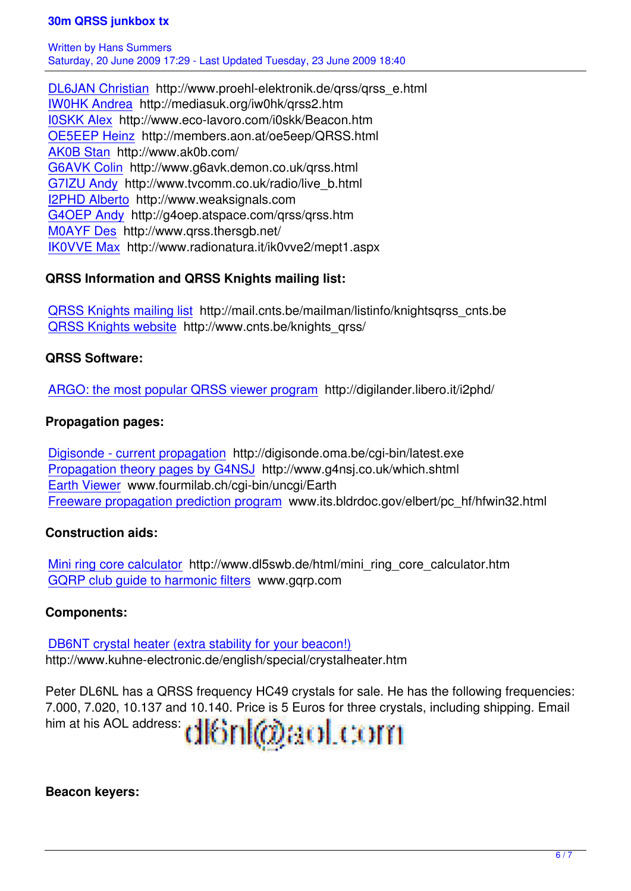DL6JAN Christian http://www.proehl-elektronik.de/qrss/qrss\_e.html IW0HK Andrea http://mediasuk.org/iw0hk/qrss2.htm I0SKK Alex http://www.eco-lavoro.com/i0skk/Beacon.htm [OE5EEP Heinz ht](http://www.proehl-elektronik.de/qrss/qrss_e.html)tp://members.aon.at/oe5eep/QRSS.html [AK0B Stan http](http://mediasuk.org/iw0hk/qrss2.htm)://www.ak0b.com/ [G6AVK Col](http://www.eco-lavoro.com/i0skk/Beacon.htm)in http://www.g6avk.demon.co.uk/qrss.html [G7IZU Andy ht](http://members.aon.at/oe5eep/QRSS.html)tp://www.tvcomm.co.uk/radio/live\_b.html [I2PHD Albe](http://www.ak0b.com/)rto http://www.weaksignals.com [G4OEP Andy](http://www.g6avk.demon.co.uk/qrss.html) http://g4oep.atspace.com/qrss/qrss.htm [M0AYF Des](http://www.tvcomm.co.uk/radio/live_b.html) http://www.qrss.thersgb.net/ [IK0VVE Max h](http://www.weaksignals.com/)ttp://www.radionatura.it/ik0vve2/mept1.aspx

## **[QRSS Inform](http://www.qrss.thersgb.net/)ation and QRSS Knights mailing list:**

[QRSS Knigh](http://www.radionatura.it/ik0vve2/mept1.aspx)ts mailing list http://mail.cnts.be/mailman/listinfo/knightsqrss\_cnts.be QRSS Knights website http://www.cnts.be/knights\_qrss/

## **[QRSS Software:](http://mail.cnts.be/mailman/listinfo/knightsqrss_cnts.be)**

[ARGO: the most popula](http://www.cnts.be/knights_qrss/)r QRSS viewer program http://digilander.libero.it/i2phd/

## **Propagation pages:**

[Digisonde - current propagation http://digisonde](http://digilander.libero.it/i2phd/).oma.be/cgi-bin/latest.exe Propagation theory pages by G4NSJ http://www.g4nsj.co.uk/which.shtml Earth Viewer www.fourmilab.ch/cgi-bin/uncgi/Earth [Freeware propagation prediction](http://digisonde.oma.be/cgi-bin/latest.exe) program www.its.bldrdoc.gov/elbert/pc\_hf/hfwin32.html

## **[Construction](http://www.fourmilab.ch/cgi-bin/uncgi/Earth%20target=) [aids:](http://www.g4nsj.co.uk/which.shtml)**

[Mini ring core calculator http://www.dl5sw](http://www.its.bldrdoc.gov/elbert/pc_hf/hfwin32.html)b.de/html/mini\_ring\_core\_calculator.htm GQRP club guide to harmonic filters www.gqrp.com

## **[Components:](http://www.dl5swb.de/html/mini_ring_core_calculator.htm)**

[DB6NT crystal heater \(extra stability](http://www.gqrp.com/) for your beacon!) http://www.kuhne-electronic.de/english/special/crystalheater.htm

[Peter DL6NL has a QRSS frequency HC49 crystals for](http://www.kuhne-electronic.de/english/special/crystalheater.htm) sale. He has the following frequencies: 7.000, 7.020, 10.137 and 10.140. Price is 5 Euros for three crystals, including shipping. Email him at his AOL address:  $\frac{d}{d}$  (iii)  $\frac{d}{d}$  (iii)  $\frac{d}{d}$  (iii)  $\frac{d}{d}$ 

**Beacon keyers:**